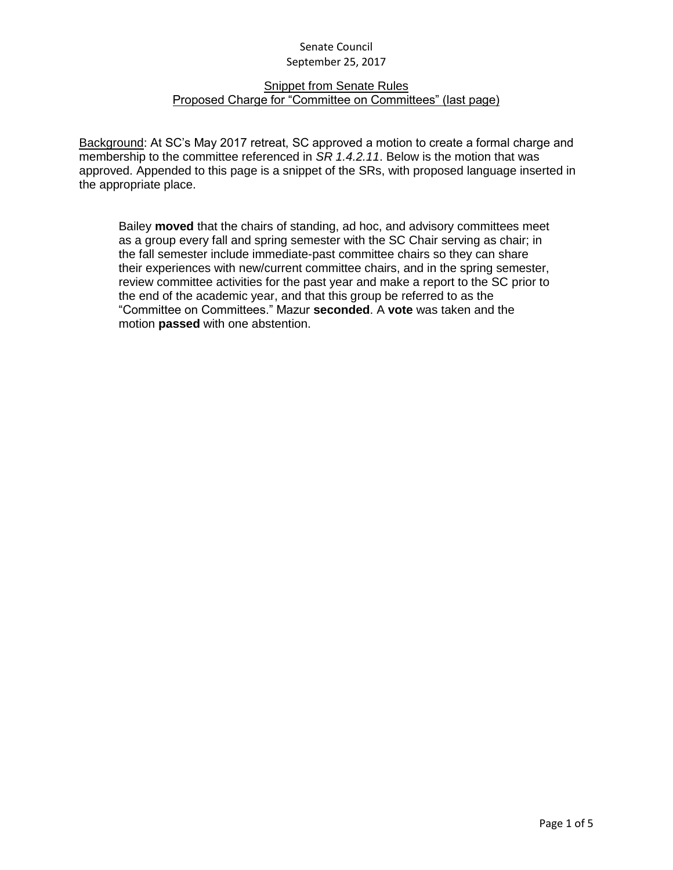#### Snippet from Senate Rules Proposed Charge for "Committee on Committees" (last page)

Background: At SC's May 2017 retreat, SC approved a motion to create a formal charge and membership to the committee referenced in *SR 1.4.2.11*. Below is the motion that was approved. Appended to this page is a snippet of the SRs, with proposed language inserted in the appropriate place.

Bailey **moved** that the chairs of standing, ad hoc, and advisory committees meet as a group every fall and spring semester with the SC Chair serving as chair; in the fall semester include immediate-past committee chairs so they can share their experiences with new/current committee chairs, and in the spring semester, review committee activities for the past year and make a report to the SC prior to the end of the academic year, and that this group be referred to as the "Committee on Committees." Mazur **seconded**. A **vote** was taken and the motion **passed** with one abstention.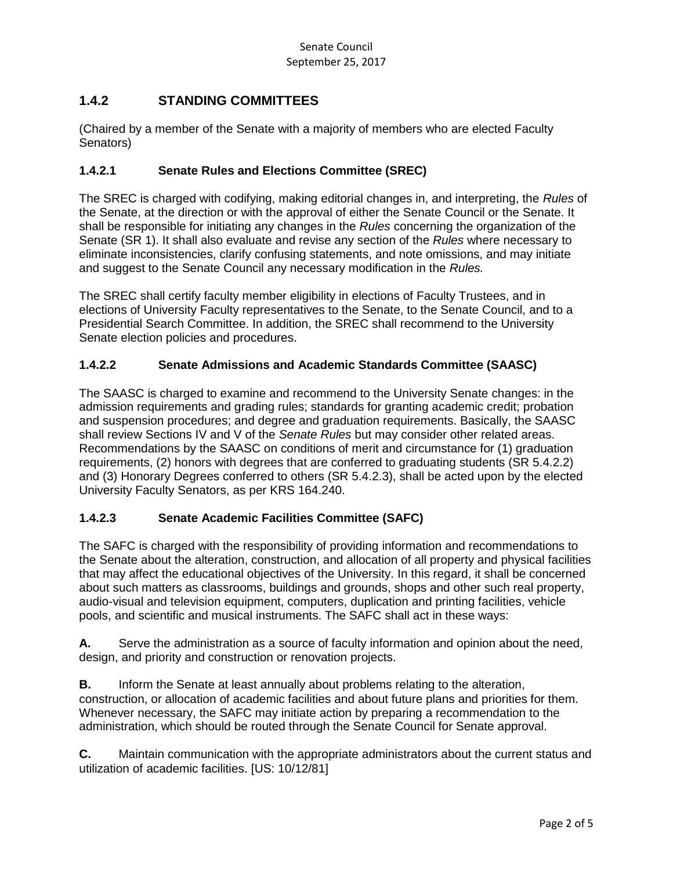# **1.4.2 STANDING COMMITTEES**

(Chaired by a member of the Senate with a majority of members who are elected Faculty Senators)

### **1.4.2.1 Senate Rules and Elections Committee (SREC)**

The SREC is charged with codifying, making editorial changes in, and interpreting, the *Rules* of the Senate, at the direction or with the approval of either the Senate Council or the Senate. It shall be responsible for initiating any changes in the *Rules* concerning the organization of the Senate (SR 1). It shall also evaluate and revise any section of the *Rules* where necessary to eliminate inconsistencies, clarify confusing statements, and note omissions, and may initiate and suggest to the Senate Council any necessary modification in the *Rules.*

The SREC shall certify faculty member eligibility in elections of Faculty Trustees, and in elections of University Faculty representatives to the Senate, to the Senate Council, and to a Presidential Search Committee. In addition, the SREC shall recommend to the University Senate election policies and procedures.

### **1.4.2.2 Senate Admissions and Academic Standards Committee (SAASC)**

The SAASC is charged to examine and recommend to the University Senate changes: in the admission requirements and grading rules; standards for granting academic credit; probation and suspension procedures; and degree and graduation requirements. Basically, the SAASC shall review Sections IV and V of the *Senate Rules* but may consider other related areas. Recommendations by the SAASC on conditions of merit and circumstance for (1) graduation requirements, (2) honors with degrees that are conferred to graduating students (SR 5.4.2.2) and (3) Honorary Degrees conferred to others (SR 5.4.2.3), shall be acted upon by the elected University Faculty Senators, as per KRS 164.240.

### **1.4.2.3 Senate Academic Facilities Committee (SAFC)**

The SAFC is charged with the responsibility of providing information and recommendations to the Senate about the alteration, construction, and allocation of all property and physical facilities that may affect the educational objectives of the University. In this regard, it shall be concerned about such matters as classrooms, buildings and grounds, shops and other such real property, audio-visual and television equipment, computers, duplication and printing facilities, vehicle pools, and scientific and musical instruments. The SAFC shall act in these ways:

**A.** Serve the administration as a source of faculty information and opinion about the need, design, and priority and construction or renovation projects.

**B.** Inform the Senate at least annually about problems relating to the alteration, construction, or allocation of academic facilities and about future plans and priorities for them. Whenever necessary, the SAFC may initiate action by preparing a recommendation to the administration, which should be routed through the Senate Council for Senate approval.

**C.** Maintain communication with the appropriate administrators about the current status and utilization of academic facilities. [US: 10/12/81]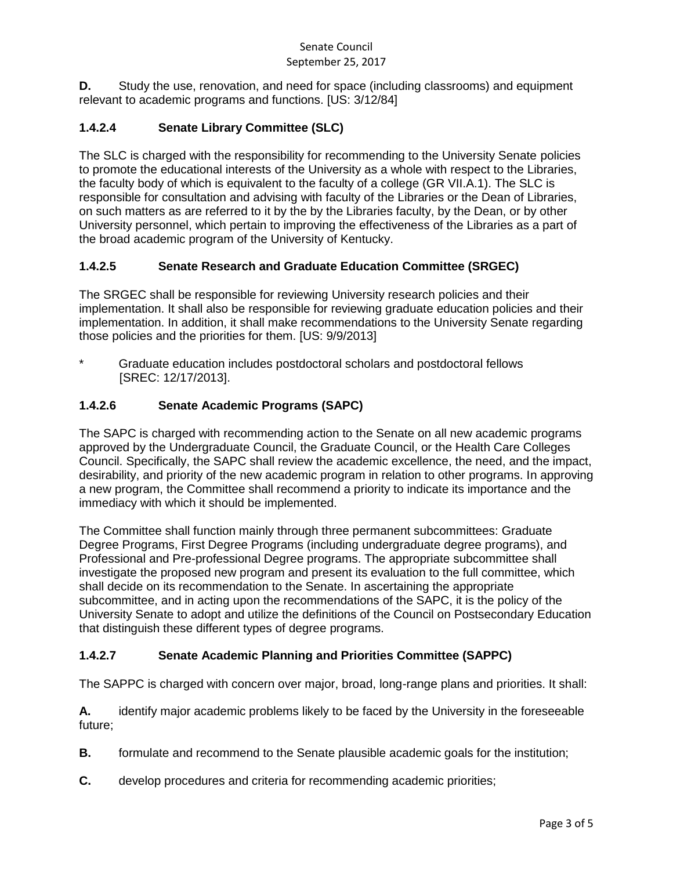**D.** Study the use, renovation, and need for space (including classrooms) and equipment relevant to academic programs and functions. [US: 3/12/84]

## **1.4.2.4 Senate Library Committee (SLC)**

The SLC is charged with the responsibility for recommending to the University Senate policies to promote the educational interests of the University as a whole with respect to the Libraries, the faculty body of which is equivalent to the faculty of a college (GR VII.A.1). The SLC is responsible for consultation and advising with faculty of the Libraries or the Dean of Libraries, on such matters as are referred to it by the by the Libraries faculty, by the Dean, or by other University personnel, which pertain to improving the effectiveness of the Libraries as a part of the broad academic program of the University of Kentucky.

## **1.4.2.5 Senate Research and Graduate Education Committee (SRGEC)**

The SRGEC shall be responsible for reviewing University research policies and their implementation. It shall also be responsible for reviewing graduate education policies and their implementation. In addition, it shall make recommendations to the University Senate regarding those policies and the priorities for them. [US: 9/9/2013]

Graduate education includes postdoctoral scholars and postdoctoral fellows [SREC: 12/17/2013].

## **1.4.2.6 Senate Academic Programs (SAPC)**

The SAPC is charged with recommending action to the Senate on all new academic programs approved by the Undergraduate Council, the Graduate Council, or the Health Care Colleges Council. Specifically, the SAPC shall review the academic excellence, the need, and the impact, desirability, and priority of the new academic program in relation to other programs. In approving a new program, the Committee shall recommend a priority to indicate its importance and the immediacy with which it should be implemented.

The Committee shall function mainly through three permanent subcommittees: Graduate Degree Programs, First Degree Programs (including undergraduate degree programs), and Professional and Pre-professional Degree programs. The appropriate subcommittee shall investigate the proposed new program and present its evaluation to the full committee, which shall decide on its recommendation to the Senate. In ascertaining the appropriate subcommittee, and in acting upon the recommendations of the SAPC, it is the policy of the University Senate to adopt and utilize the definitions of the Council on Postsecondary Education that distinguish these different types of degree programs.

## **1.4.2.7 Senate Academic Planning and Priorities Committee (SAPPC)**

The SAPPC is charged with concern over major, broad, long-range plans and priorities. It shall:

**A.** identify major academic problems likely to be faced by the University in the foreseeable future;

- **B.** formulate and recommend to the Senate plausible academic goals for the institution;
- **C.** develop procedures and criteria for recommending academic priorities;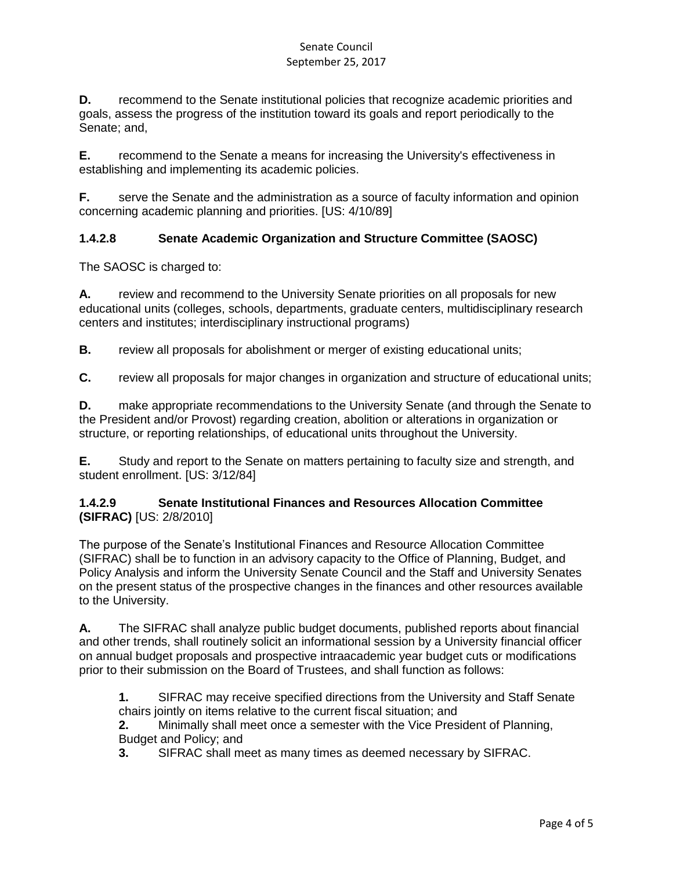**D.** recommend to the Senate institutional policies that recognize academic priorities and goals, assess the progress of the institution toward its goals and report periodically to the Senate; and,

**E.** recommend to the Senate a means for increasing the University's effectiveness in establishing and implementing its academic policies.

**F.** serve the Senate and the administration as a source of faculty information and opinion concerning academic planning and priorities. [US: 4/10/89]

## **1.4.2.8 Senate Academic Organization and Structure Committee (SAOSC)**

The SAOSC is charged to:

**A.** review and recommend to the University Senate priorities on all proposals for new educational units (colleges, schools, departments, graduate centers, multidisciplinary research centers and institutes; interdisciplinary instructional programs)

**B.** review all proposals for abolishment or merger of existing educational units;

**C.** review all proposals for major changes in organization and structure of educational units;

**D.** make appropriate recommendations to the University Senate (and through the Senate to the President and/or Provost) regarding creation, abolition or alterations in organization or structure, or reporting relationships, of educational units throughout the University.

**E.** Study and report to the Senate on matters pertaining to faculty size and strength, and student enrollment. [US: 3/12/84]

### **1.4.2.9 Senate Institutional Finances and Resources Allocation Committee (SIFRAC)** [US: 2/8/2010]

The purpose of the Senate's Institutional Finances and Resource Allocation Committee (SIFRAC) shall be to function in an advisory capacity to the Office of Planning, Budget, and Policy Analysis and inform the University Senate Council and the Staff and University Senates on the present status of the prospective changes in the finances and other resources available to the University.

**A.** The SIFRAC shall analyze public budget documents, published reports about financial and other trends, shall routinely solicit an informational session by a University financial officer on annual budget proposals and prospective intraacademic year budget cuts or modifications prior to their submission on the Board of Trustees, and shall function as follows:

**1.** SIFRAC may receive specified directions from the University and Staff Senate chairs jointly on items relative to the current fiscal situation; and

**2.** Minimally shall meet once a semester with the Vice President of Planning, Budget and Policy; and

**3.** SIFRAC shall meet as many times as deemed necessary by SIFRAC.